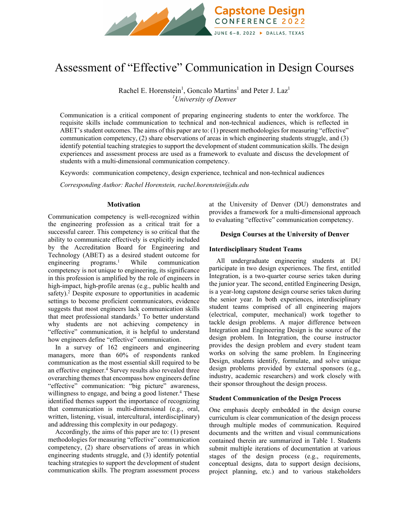

# Assessment of "Effective" Communication in Design Courses

Rachel E. Horenstein<sup>1</sup>, Goncalo Martins<sup>1</sup> and Peter J. Laz<sup>1</sup> *1 University of Denver*

Communication is a critical component of preparing engineering students to enter the workforce. The requisite skills include communication to technical and non-technical audiences, which is reflected in ABET's student outcomes. The aims of this paper are to: (1) present methodologies for measuring "effective" communication competency, (2) share observations of areas in which engineering students struggle, and (3) identify potential teaching strategies to support the development of student communication skills. The design experiences and assessment process are used as a framework to evaluate and discuss the development of students with a multi-dimensional communication competency.

Keywords:communication competency, design experience, technical and non-technical audiences

*Corresponding Author: Rachel Horenstein, rachel.horenstein@du.edu*

# **Motivation**

Communication competency is well-recognized within the engineering profession as a critical trait for a successful career. This competency is so critical that the ability to communicate effectively is explicitly included by the Accreditation Board for Engineering and Technology (ABET) as a desired student outcome for engineering programs. $\frac{1}{1}$  While communication competency is not unique to engineering, its significance in this profession is amplified by the role of engineers in high-impact, high-profile arenas (e.g., public health and safety).<sup>2</sup> Despite exposure to opportunities in academic settings to become proficient communicators, evidence suggests that most engineers lack communication skills that meet professional standards.<sup>3</sup> To better understand why students are not achieving competency in "effective" communication, it is helpful to understand how engineers define "effective" communication.

In a survey of 162 engineers and engineering managers, more than 60% of respondents ranked communication as the most essential skill required to be an effective engineer.<sup>4</sup> Survey results also revealed three overarching themes that encompass how engineers define "effective" communication: "big picture" awareness, willingness to engage, and being a good listener.<sup>4</sup> These identified themes support the importance of recognizing that communication is multi-dimensional (e.g., oral, written, listening, visual, intercultural, interdisciplinary) and addressing this complexity in our pedagogy.

Accordingly, the aims of this paper are to: (1) present methodologies for measuring "effective" communication competency, (2) share observations of areas in which engineering students struggle, and (3) identify potential teaching strategies to support the development of student communication skills. The program assessment process at the University of Denver (DU) demonstrates and provides a framework for a multi-dimensional approach to evaluating "effective" communication competency.

# **Design Courses at the University of Denver**

# **Interdisciplinary Student Teams**

All undergraduate engineering students at DU participate in two design experiences. The first, entitled Integration, is a two-quarter course series taken during the junior year. The second, entitled Engineering Design, is a year-long capstone design course series taken during the senior year. In both experiences, interdisciplinary student teams comprised of all engineering majors (electrical, computer, mechanical) work together to tackle design problems. A major difference between Integration and Engineering Design is the source of the design problem. In Integration, the course instructor provides the design problem and every student team works on solving the same problem. In Engineering Design, students identify, formulate, and solve unique design problems provided by external sponsors (e.g., industry, academic researchers) and work closely with their sponsor throughout the design process.

# **Student Communication of the Design Process**

One emphasis deeply embedded in the design course curriculum is clear communication of the design process through multiple modes of communication. Required documents and the written and visual communications contained therein are summarized in Table 1. Students submit multiple iterations of documentation at various stages of the design process (e.g., requirements, conceptual designs, data to support design decisions, project planning, etc.) and to various stakeholders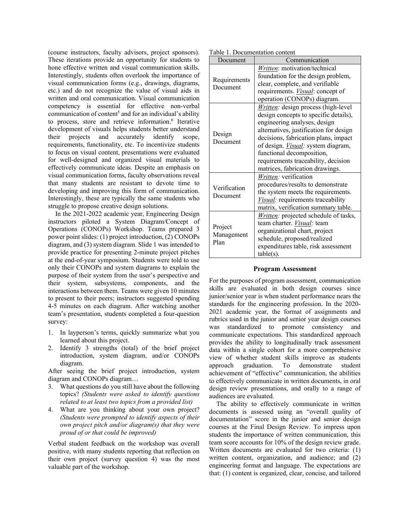(course instructors, faculty advisors, project sponsors). These iterations provide an opportunity for students to hone effective written and visual communication skills. Interestingly, students often overlook the importance of visual communication forms (e.g., drawings, diagrams, etc.) and do not recognize the value of visual aids in written and oral communication. Visual communication competency is essential for effective non-verbal communication of content<sup>5</sup> and for an individual's ability to process, store and retrieve information.<sup>6</sup> Iterative development of visuals helps students better understand their projects and accurately identify scope, requirements, functionality, etc. To incentivize students to focus on visual content, presentations were evaluated for well-designed and organized visual materials to effectively communicate ideas. Despite an emphasis on visual communication forms, faculty observations reveal that many students are resistant to devote time to developing and improving this form of communication. Interestingly, these are typically the same students who struggle to propose creative design solutions.

In the 2021-2022 academic year, Engineering Design instructors piloted a System Diagram/Concept of Operations (CONOPs) Workshop. Teams prepared 3 power point slides: (1) project introduction, (2) CONOPs diagram, and (3) system diagram. Slide 1 was intended to provide practice for presenting 2-minute project pitches at the end-of-year symposium. Students were told to use only their CONOPs and system diagrams to explain the purpose of their system from the user's perspective and their system, subsystems, components, and the interactions between them. Teams were given 10 minutes to present to their peers; instructors suggested spending 4-5 minutes on each diagram. After watching another team's presentation, students completed a four-question survey:

- 1. In layperson's terms, quickly summarize what you learned about this project.
- 2. Identify 3 strengths (total) of the brief project introduction, system diagram, and/or CONOPs diagram.

After seeing the brief project introduction, system diagram and CONOPs diagram…

- 3. What questions do you still have about the following topics? *(Students were asked to identify questions related to at least two topics from a provided list)*
- 4. What are you thinking about your own project? *(Students were prompted to identify aspects of their own project pitch and/or diagram(s) that they were proud of or that could be improved)*

Verbal student feedback on the workshop was overall positive, with many students reporting that reflection on their own project (survey question 4) was the most valuable part of the workshop.

| Table 1. Documentation content |
|--------------------------------|
|--------------------------------|

| Document                      | 1. Documentation content<br>Communication                                                                                                                                                                                                                                                                                                                  |  |  |  |
|-------------------------------|------------------------------------------------------------------------------------------------------------------------------------------------------------------------------------------------------------------------------------------------------------------------------------------------------------------------------------------------------------|--|--|--|
| Requirements<br>Document      | Written: motivation/technical<br>foundation for the design problem,<br>clear, complete, and verifiable<br>requirements. <i>Visual</i> : concept of<br>operation (CONOPs) diagram.                                                                                                                                                                          |  |  |  |
| Design<br>Document            | <i>Written:</i> design process (high-level<br>design concepts to specific details),<br>engineering analyses, design<br>alternatives, justification for design<br>decisions, fabrication plans, impact<br>of design. <i>Visual</i> : system diagram,<br>functional decomposition,<br>requirements traceability, decision<br>matrices, fabrication drawings. |  |  |  |
| Verification<br>Document      | <i>Written:</i> verification<br>procedures/results to demonstrate<br>the system meets the requirements.<br>Visual: requirements traceability<br>matrix, verification summary table.                                                                                                                                                                        |  |  |  |
| Project<br>Management<br>Plan | <i>Written:</i> projected schedule of tasks,<br>team charter. <i>Visual</i> : team<br>organizational chart, project<br>schedule, proposed/realized<br>expenditures table, risk assessment<br>$table(s)$ .                                                                                                                                                  |  |  |  |

## **Program Assessment**

For the purposes of program assessment, communication skills are evaluated in both design courses since junior/senior year is when student performance nears the standards for the engineering profession. In the 2020- 2021 academic year, the format of assignments and rubrics used in the junior and senior year design courses was standardized to promote consistency and communicate expectations. This standardized approach provides the ability to longitudinally track assessment data within a single cohort for a more comprehensive view of whether student skills improve as students approach graduation. To demonstrate student achievement of "effective" communication, the abilities to effectively communicate in written documents, in oral design review presentations, and orally to a range of audiences are evaluated.

The ability to effectively communicate in written documents is assessed using an "overall quality of documentation" score in the junior and senior design courses at the Final Design Review. To impress upon students the importance of written communication, this team score accounts for 10% of the design review grade. Written documents are evaluated for two criteria: (1) written content, organization, and audience; and (2) engineering format and language. The expectations are that: (1) content is organized, clear, concise, and tailored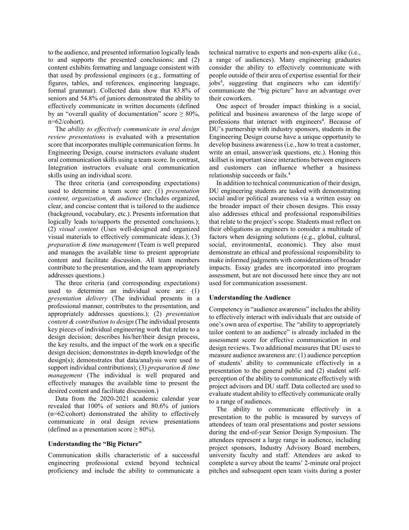to the audience, and presented information logically leads to and supports the presented conclusions; and (2) content exhibits formatting and language consistent with that used by professional engineers (e.g., formatting of figures, tables, and references, engineering language, formal grammar). Collected data show that 83.8% of seniors and 54.8% of juniors demonstrated the ability to effectively communicate in written documents (defined by an "overall quality of documentation" score  $\geq 80\%$ , n=62/cohort).

The *ability to effectively communicate in oral design review presentations* is evaluated with a presentation score that incorporates multiple communication forms. In Engineering Design, course instructors evaluate student oral communication skills using a team score. In contrast, Integration instructors evaluate oral communication skills using an individual score.

The three criteria (and corresponding expectations) used to determine a team score are: (1) *presentation content, organization, & audience* (Includes organized, clear, and concise content that is tailored to the audience (background, vocabulary, etc.). Presents information that logically leads to/supports the presented conclusions.); (2) *visual content* (Uses well-designed and organized visual materials to effectively communicate ideas.); (3) *preparation & time management* (Team is well prepared and manages the available time to present appropriate content and facilitate discussion. All team members contribute to the presentation, and the team appropriately addresses questions.)

The three criteria (and corresponding expectations) used to determine an individual score are: (1) *presentation delivery* (The individual presents in a professional manner, contributes to the presentation, and appropriately addresses questions.); (2) *presentation content & contribution to design* (The individual presents key pieces of individual engineering work that relate to a design decision; describes his/her/their design process, the key results, and the impact of the work on a specific design decision; demonstrates in-depth knowledge of the design(s); demonstrates that data/analysis were used to support individual contributions); (3) *preparation & time management* (The individual is well prepared and effectively manages the available time to present the desired content and facilitate discussion.)

Data from the 2020-2021 academic calendar year revealed that 100% of seniors and 80.6% of juniors (n=62/cohort) demonstrated the ability to effectively communicate in oral design review presentations (defined as a presentation score  $\geq 80\%$ ).

### **Understanding the "Big Picture"**

Communication skills characteristic of a successful engineering professional extend beyond technical proficiency and include the ability to communicate a technical narrative to experts and non-experts alike (i.e., a range of audiences). Many engineering graduates consider the ability to effectively communicate with people outside of their area of expertise essential for their jobs4 , suggesting that engineers who can identify/ communicate the "big picture" have an advantage over their coworkers.

One aspect of broader impact thinking is a social, political and business awareness of the large scope of professions that interact with engineers<sup>4</sup>. Because of DU's partnership with industry sponsors, students in the Engineering Design course have a unique opportunity to develop business awareness (i.e., how to treat a customer, write an email, answer/ask questions, etc.). Honing this skillset is important since interactions between engineers and customers can influence whether a business relationship succeeds or fails.<sup>4</sup>

In addition to technical communication of their design, DU engineering students are tasked with demonstrating social and/or political awareness via a written essay on the broader impact of their chosen designs. This essay also addresses ethical and professional responsibilities that relate to the project's scope. Students must reflect on their obligations as engineers to consider a multitude of factors when designing solutions (e.g., global, cultural, social, environmental, economic). They also must demonstrate an ethical and professional responsibility to make informed judgments with considerations of broader impacts. Essay grades are incorporated into program assessment, but are not discussed here since they are not used for communication assessment.

## **Understanding the Audience**

Competency in "audience awareness" includes the ability to effectively interact with individuals that are outside of one's own area of expertise. The "ability to appropriately tailor content to an audience" is already included in the assessment score for effective communication in oral design reviews. Two additional measures that DU uses to measure audience awareness are: (1) audience perception of students' ability to communicate effectively in a presentation to the general public and (2) student selfperception of the ability to communicate effectively with project advisors and DU staff. Data collected are used to evaluate student ability to effectively communicate orally to a range of audiences.

The ability to communicate effectively in a presentation to the public is measured by surveys of attendees of team oral presentations and poster sessions during the end-of-year Senior Design Symposium. The attendees represent a large range in audience, including project sponsors, Industry Advisory Board members, university faculty and staff. Attendees are asked to complete a survey about the teams' 2-minute oral project pitches and subsequent open team visits during a poster